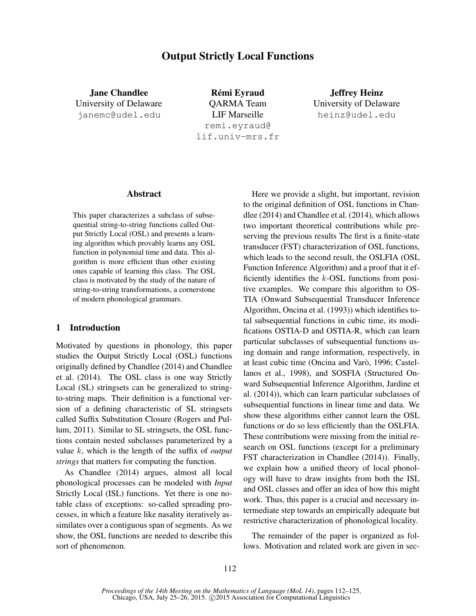# Output Strictly Local Functions

Jane Chandlee University of Delaware janemc@udel.edu

Rémi Eyraud QARMA Team LIF Marseille remi.eyraud@ lif.univ-mrs.fr

Jeffrey Heinz University of Delaware heinz@udel.edu

### Abstract

This paper characterizes a subclass of subsequential string-to-string functions called Output Strictly Local (OSL) and presents a learning algorithm which provably learns any OSL function in polynomial time and data. This algorithm is more efficient than other existing ones capable of learning this class. The OSL class is motivated by the study of the nature of string-to-string transformations, a cornerstone of modern phonological grammars.

### 1 Introduction

Motivated by questions in phonology, this paper studies the Output Strictly Local (OSL) functions originally defined by Chandlee (2014) and Chandlee et al. (2014). The OSL class is one way Strictly Local (SL) stringsets can be generalized to stringto-string maps. Their definition is a functional version of a defining characteristic of SL stringsets called Suffix Substitution Closure (Rogers and Pullum, 2011). Similar to SL stringsets, the OSL functions contain nested subclasses parameterized by a value k, which is the length of the suffix of *output strings* that matters for computing the function.

As Chandlee (2014) argues, almost all local phonological processes can be modeled with *Input* Strictly Local (ISL) functions. Yet there is one notable class of exceptions: so-called spreading processes, in which a feature like nasality iteratively assimilates over a contiguous span of segments. As we show, the OSL functions are needed to describe this sort of phenomenon.

Here we provide a slight, but important, revision to the original definition of OSL functions in Chandlee (2014) and Chandlee et al. (2014), which allows two important theoretical contributions while preserving the previous results The first is a finite-state transducer (FST) characterization of OSL functions, which leads to the second result, the OSLFIA (OSL Function Inference Algorithm) and a proof that it efficiently identifies the  $k$ -OSL functions from positive examples. We compare this algorithm to OS-TIA (Onward Subsequential Transducer Inference Algorithm, Oncina et al. (1993)) which identifies total subsequential functions in cubic time, its modifications OSTIA-D and OSTIA-R, which can learn particular subclasses of subsequential functions using domain and range information, respectively, in at least cubic time (Oncina and Varò, 1996; Castellanos et al., 1998), and SOSFIA (Structured Onward Subsequential Inference Algorithm, Jardine et al. (2014)), which can learn particular subclasses of subsequential functions in linear time and data. We show these algorithms either cannot learn the OSL functions or do so less efficiently than the OSLFIA. These contributions were missing from the initial research on OSL functions (except for a preliminary FST characterization in Chandlee (2014)). Finally, we explain how a unified theory of local phonology will have to draw insights from both the ISL and OSL classes and offer an idea of how this might work. Thus, this paper is a crucial and necessary intermediate step towards an empirically adequate but restrictive characterization of phonological locality.

The remainder of the paper is organized as follows. Motivation and related work are given in sec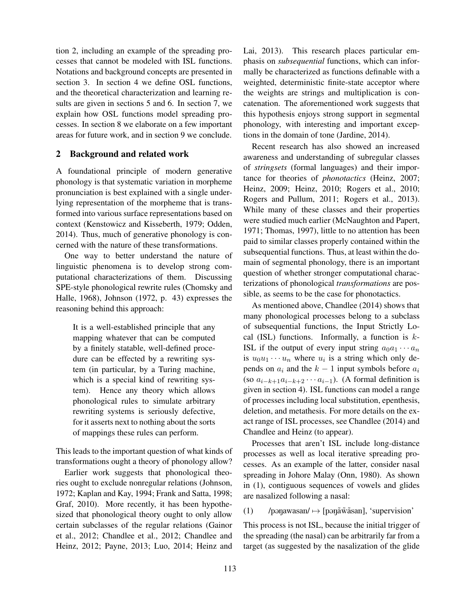tion 2, including an example of the spreading processes that cannot be modeled with ISL functions. Notations and background concepts are presented in section 3. In section 4 we define OSL functions, and the theoretical characterization and learning results are given in sections 5 and 6. In section 7, we explain how OSL functions model spreading processes. In section 8 we elaborate on a few important areas for future work, and in section 9 we conclude.

### 2 Background and related work

A foundational principle of modern generative phonology is that systematic variation in morpheme pronunciation is best explained with a single underlying representation of the morpheme that is transformed into various surface representations based on context (Kenstowicz and Kisseberth, 1979; Odden, 2014). Thus, much of generative phonology is concerned with the nature of these transformations.

One way to better understand the nature of linguistic phenomena is to develop strong computational characterizations of them. Discussing SPE-style phonological rewrite rules (Chomsky and Halle, 1968), Johnson (1972, p. 43) expresses the reasoning behind this approach:

It is a well-established principle that any mapping whatever that can be computed by a finitely statable, well-defined procedure can be effected by a rewriting system (in particular, by a Turing machine, which is a special kind of rewriting system). Hence any theory which allows phonological rules to simulate arbitrary rewriting systems is seriously defective, for it asserts next to nothing about the sorts of mappings these rules can perform.

This leads to the important question of what kinds of transformations ought a theory of phonology allow?

Earlier work suggests that phonological theories ought to exclude nonregular relations (Johnson, 1972; Kaplan and Kay, 1994; Frank and Satta, 1998; Graf, 2010). More recently, it has been hypothesized that phonological theory ought to only allow certain subclasses of the regular relations (Gainor et al., 2012; Chandlee et al., 2012; Chandlee and Heinz, 2012; Payne, 2013; Luo, 2014; Heinz and Lai, 2013). This research places particular emphasis on *subsequential* functions, which can informally be characterized as functions definable with a weighted, deterministic finite-state acceptor where the weights are strings and multiplication is concatenation. The aforementioned work suggests that this hypothesis enjoys strong support in segmental phonology, with interesting and important exceptions in the domain of tone (Jardine, 2014).

Recent research has also showed an increased awareness and understanding of subregular classes of *stringsets* (formal languages) and their importance for theories of *phonotactics* (Heinz, 2007; Heinz, 2009; Heinz, 2010; Rogers et al., 2010; Rogers and Pullum, 2011; Rogers et al., 2013). While many of these classes and their properties were studied much earlier (McNaughton and Papert, 1971; Thomas, 1997), little to no attention has been paid to similar classes properly contained within the subsequential functions. Thus, at least within the domain of segmental phonology, there is an important question of whether stronger computational characterizations of phonological *transformations* are possible, as seems to be the case for phonotactics.

As mentioned above, Chandlee (2014) shows that many phonological processes belong to a subclass of subsequential functions, the Input Strictly Local (ISL) functions. Informally, a function is  $k$ -ISL if the output of every input string  $a_0a_1 \cdots a_n$ is  $u_0u_1 \cdots u_n$  where  $u_i$  is a string which only depends on  $a_i$  and the  $k - 1$  input symbols before  $a_i$ (so  $a_{i-k+1}a_{i-k+2}\cdots a_{i-1}$ ). (A formal definition is given in section 4). ISL functions can model a range of processes including local substitution, epenthesis, deletion, and metathesis. For more details on the exact range of ISL processes, see Chandlee (2014) and Chandlee and Heinz (to appear).

Processes that aren't ISL include long-distance processes as well as local iterative spreading processes. As an example of the latter, consider nasal spreading in Johore Malay (Onn, 1980). As shown in (1), contiguous sequences of vowels and glides are nasalized following a nasal:

#### (1) /pənawasan/  $\mapsto$  [pənāw̄asan], 'supervision'

This process is not ISL, because the initial trigger of the spreading (the nasal) can be arbitrarily far from a target (as suggested by the nasalization of the glide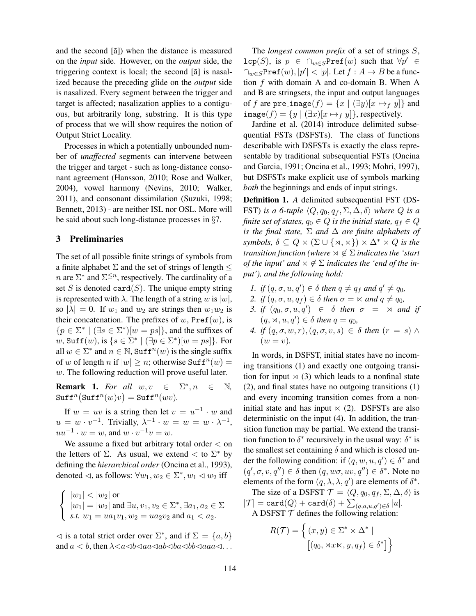and the second  $[\tilde{a}]$  when the distance is measured on the *input* side. However, on the *output* side, the triggering context is local; the second  $[\tilde{a}]$  is nasalized because the preceding glide on the *output* side is nasalized. Every segment between the trigger and target is affected; nasalization applies to a contiguous, but arbitrarily long, substring. It is this type of process that we will show requires the notion of Output Strict Locality.

Processes in which a potentially unbounded number of *unaffected* segments can intervene between the trigger and target - such as long-distance consonant agreement (Hansson, 2010; Rose and Walker, 2004), vowel harmony (Nevins, 2010; Walker, 2011), and consonant dissimilation (Suzuki, 1998; Bennett, 2013) - are neither ISL nor OSL. More will be said about such long-distance processes in §7.

## 3 Preliminaries

The set of all possible finite strings of symbols from a finite alphabet  $\Sigma$  and the set of strings of length  $\leq$ *n* are  $\Sigma^*$  and  $\Sigma^{\leq n}$ , respectively. The cardinality of a set S is denoted card $(S)$ . The unique empty string is represented with  $\lambda$ . The length of a string w is  $|w|$ , so  $|\lambda| = 0$ . If  $w_1$  and  $w_2$  are strings then  $w_1w_2$  is their concatenation. The prefixes of  $w$ , Pref $(w)$ , is  ${p \in \Sigma^* \mid (\exists s \in \Sigma^*) [w = ps] }$ , and the suffixes of w, Suf  $f(w)$ , is  $\{s \in \Sigma^* \mid (\exists p \in \Sigma^*)[w = ps]\}$ . For all  $w \in \Sigma^*$  and  $n \in \mathbb{N}$ , Suff<sup>n</sup> $(w)$  is the single suffix of w of length n if  $|w| \ge n$ ; otherwise Suff $n(w) =$ w. The following reduction will prove useful later.

**Remark 1.** For all  $w, v \in \Sigma^*, n \in \mathbb{N}$ ,  $\text{Suff}^n(\text{Suff}^n(w)v) = \text{Suff}^n(wv).$ 

If  $w = uv$  is a string then let  $v = u^{-1} \cdot w$  and  $u = w \cdot v^{-1}$ . Trivially,  $\lambda^{-1} \cdot w = w = w \cdot \lambda^{-1}$ ,  $uu^{-1} \cdot w = w$ , and  $w \cdot v^{-1}v = w$ .

We assume a fixed but arbitrary total order < on the letters of  $\Sigma$ . As usual, we extend  $\lt$  to  $\Sigma^*$  by defining the *hierarchical order* (Oncina et al., 1993), denoted  $\lhd$ , as follows:  $\forall w_1, w_2 \in \Sigma^*, w_1 \lhd w_2$  iff

$$
\begin{cases} |w_1| < |w_2| \text{ or } \\ |w_1| = |w_2| \text{ and } \exists u, v_1, v_2 \in \Sigma^*, \exists a_1, a_2 \in \Sigma \\ s.t. \ w_1 = u a_1 v_1, w_2 = u a_2 v_2 \text{ and } a_1 < a_2. \end{cases}
$$

 $\lhd$  is a total strict order over  $\Sigma^*$ , and if  $\Sigma = \{a, b\}$ and  $a < b$ , then  $\lambda \triangleleft a \triangleleft b \triangleleft a \triangleleft b \triangleleft a$  and  $\triangleleft a \triangleleft a \triangleleft b \triangleleft a$ ...

The *longest common prefix* of a set of strings S,  $\mathtt{lcp}(S)$ , is  $p \in \bigcap_{w \in S} \mathtt{Pref}(w)$  such that  $\forall p' \in$  $\bigcap_{w\in S} \texttt{Pref}(w), |p'| < |p|.$  Let  $f: A \to B$  be a function  $f$  with domain A and co-domain B. When A and B are stringsets, the input and output languages of f are pre\_image(f) =  $\{x \mid (\exists y)[x \mapsto_f y]\}$  and  $\texttt{image}(f) = \{y \mid (\exists x)[x \mapsto_f y]\},$  respectively.

Jardine et al. (2014) introduce delimited subsequential FSTs (DSFSTs). The class of functions describable with DSFSTs is exactly the class representable by traditional subsequential FSTs (Oncina and Garcia, 1991; Oncina et al., 1993; Mohri, 1997), but DSFSTs make explicit use of symbols marking *both* the beginnings and ends of input strings.

Definition 1. *A* delimited subsequential FST (DS-FST) *is a 6-tuple*  $\langle Q, q_0, q_f, \Sigma, \Delta, \delta \rangle$  *where*  $Q$  *is a finite set of states,*  $q_0 \in Q$  *is the initial state,*  $q_f \in Q$ *is the final state,* Σ *and* ∆ *are finite alphabets of symbols,*  $\delta \subseteq Q \times (\Sigma \cup \{x, \kappa\}) \times \Delta^* \times Q$  *is the transition function (where*  $\forall \notin \Sigma$  *indicates the 'start of the input'* and  $\ltimes \notin \Sigma$  *indicates the 'end of the input'), and the following hold:*

- *1. if*  $(q, \sigma, u, q') \in \delta$  *then*  $q \neq q_f$  *and*  $q' \neq q_0$ *,*
- 2. *if*  $(q, \sigma, u, q_f) \in \delta$  *then*  $\sigma = \kappa$  *and*  $q \neq q_0$ *,*
- 3. if  $(q_0, \sigma, u, q') \in \delta$  then  $\sigma = \times$  and if  $(q, \times, u, q') \in \delta$  *then*  $q = q_0$ *,*
- *4.* if  $(q, \sigma, w, r), (q, \sigma, v, s) \in \delta$  then  $(r = s) \wedge$  $(w = v)$ .

In words, in DSFST, initial states have no incoming transitions (1) and exactly one outgoing transition for input  $\times$  (3) which leads to a nonfinal state (2), and final states have no outgoing transitions (1) and every incoming transition comes from a noninitial state and has input  $\times$  (2). DSFSTs are also deterministic on the input (4). In addition, the transition function may be partial. We extend the transition function to  $\delta^*$  recursively in the usual way:  $\delta^*$  is the smallest set containing  $\delta$  and which is closed under the following condition: if  $(q, w, u, q') \in \delta^*$  and  $(q', \sigma, v, q'') \in \delta$  then  $(q, w\sigma, uv, q'') \in \delta^*$ . Note no elements of the form  $(q, \lambda, \lambda, q')$  are elements of  $\delta^*$ .

The size of a DSFST  $\mathcal{T} = \langle Q, q_0, q_f, \Sigma, \Delta, \delta \rangle$  is  $|\mathcal{T}| = \text{card}(Q) + \text{card}(\delta) + \sum_{(q,a,u,q')\in\delta} |u|.$ A DSFST  $T$  defines the following relation:

$$
R(\mathcal{T}) = \left\{ (x, y) \in \Sigma^* \times \Delta^* \mid \left[ (q_0, \forall x \times y, q_f) \in \delta^* \right] \right\}
$$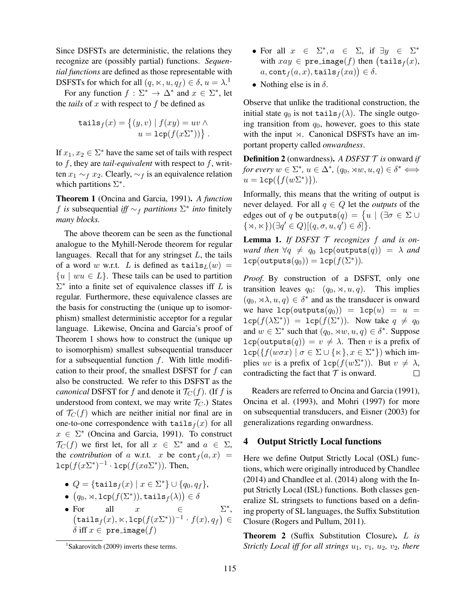Since DSFSTs are deterministic, the relations they recognize are (possibly partial) functions. *Sequential functions* are defined as those representable with DSFSTs for which for all  $(q, \ltimes, u, q_f) \in \delta$ ,  $u = \lambda$ .<sup>1</sup>

For any function  $f : \Sigma^* \to \Delta^*$  and  $x \in \Sigma^*$ , let the *tails* of  $x$  with respect to  $f$  be defined as

$$
\texttt{tails}_f(x) = \{(y, v) \mid f(xy) = uv \land u = \texttt{lcp}(f(x\sum^*))\}.
$$

If  $x_1, x_2 \in \Sigma^*$  have the same set of tails with respect to f, they are *tail-equivalent* with respect to f, written  $x_1 \sim_f x_2$ . Clearly,  $\sim_f$  is an equivalence relation which partitions  $\Sigma^*$ .

Theorem 1 (Oncina and Garcia, 1991). *A function* f *is* subsequential *iff* ∼<sup>f</sup> *partitions* Σ ∗ *into* finitely *many blocks.*

The above theorem can be seen as the functional analogue to the Myhill-Nerode theorem for regular languages. Recall that for any stringset  $L$ , the tails of a word w w.r.t. L is defined as  $\text{tails}_L(w) =$  ${u \mid wu \in L}$ . These tails can be used to partition  $\Sigma^*$  into a finite set of equivalence classes iff L is regular. Furthermore, these equivalence classes are the basis for constructing the (unique up to isomorphism) smallest deterministic acceptor for a regular language. Likewise, Oncina and Garcia's proof of Theorem 1 shows how to construct the (unique up to isomorphism) smallest subsequential transducer for a subsequential function  $f$ . With little modification to their proof, the smallest DSFST for  $f$  can also be constructed. We refer to this DSFST as the *canonical* DSFST for f and denote it  $\mathcal{T}_C(f)$ . (If f is understood from context, we may write  $\mathcal{T}_C$ .) States of  $\mathcal{T}_C(f)$  which are neither initial nor final are in one-to-one correspondence with  $\text{tails}_f(x)$  for all  $x \in \Sigma^*$  (Oncina and Garcia, 1991). To construct  $\mathcal{T}_C(f)$  we first let, for all  $x \in \Sigma^*$  and  $a \in \Sigma$ , the *contribution* of a w.r.t. x be  $cont<sub>f</sub>(a, x)$  =  $\mathsf{lcp}(f(x\Sigma^*)^{-1} \cdot \mathsf{lcp}(f(xa\Sigma^*))$ . Then,

• 
$$
Q = {\text{tails}_f(x) \mid x \in \Sigma^*} \cup \{q_0, q_f\},
$$

$$
\bullet \ \big(q_0, \rtimes, \mathtt{lcp}(f(\Sigma^*)), \mathtt{tails}_f(\lambda)\big) \in \delta
$$

• For all  $x \in \Sigma^*$ ,  $\left(\mathtt{tails}_f(x), \ltimes, \mathtt{lcp}(f(x\Sigma^*))^{-1} \cdot f(x), q_f\right) \in$ δ iff  $x \in \text{pre}\_\text{image}(f)$ 

- For all  $x \in \Sigma^*, a \in \Sigma$ , if  $\exists y \in \Sigma^*$ with  $xay \in \texttt{pre}\_\texttt{image}(f)$  then  $(\texttt{tails}_f(x),$  $a, \texttt{cont}_f(a, x), \texttt{tails}_f(xa) \big) \in \delta.$
- Nothing else is in  $\delta$ .

Observe that unlike the traditional construction, the initial state  $q_0$  is not tails  $f(\lambda)$ . The single outgoing transition from  $q_0$ , however, goes to this state with the input  $\times$ . Canonical DSFSTs have an important property called *onwardness*.

Definition 2 (onwardness). *A DSFST* T *is* onward *if for every*  $w \in \Sigma^*$ ,  $u \in \Delta^*$ ,  $(q_0, \times w, u, q) \in \delta^* \Longleftrightarrow$  $u = \texttt{lcp}(\{f(w\Sigma^*)\}).$ 

Informally, this means that the writing of output is never delayed. For all  $q \in Q$  let the *outputs* of the edges out of  $q$  be outputs $(q) = \big\{ u \mid (\exists \sigma \in \Sigma \cup$  $\{\times, \times\})(\exists q' \in Q)[(q, \sigma, u, q') \in \delta]\}.$ 

Lemma 1. *If DSFST* T *recognizes* f *and is onward then*  $\forall q \neq q_0$  lcp(outputs(q)) =  $\lambda$  *and*  $\mathtt{lcp}(\mathtt{outputs}(q_0)) = \mathtt{lcp}(f(\Sigma^*)).$ 

*Proof.* By construction of a DSFST, only one transition leaves  $q_0$ :  $(q_0, \times, u, q)$ . This implies  $(q_0, \rtimes \lambda, u, q) \in \delta^*$  and as the transducer is onward we have  $lcp(outputs(q_0)) = lcp(u) = u$  =  $\text{lcp}(f(\lambda \Sigma^*)) = \text{lcp}(f(\Sigma^*))$ . Now take  $q \neq q_0$ and  $w \in \Sigma^*$  such that  $(q_0, \times w, u, q) \in \delta^*$ . Suppose  $lcp(outputs(q)) = v \neq \lambda$ . Then v is a prefix of  $\texttt{lcp}(\{f(w \sigma x) \mid \sigma \in \Sigma \cup \{\kappa\}, x \in \Sigma^*\})$  which implies uv is a prefix of  $\text{Lcp}(f(w\Sigma^*))$ . But  $v \neq \lambda$ , contradicting the fact that  $T$  is onward.

Readers are referred to Oncina and Garcia (1991), Oncina et al. (1993), and Mohri (1997) for more on subsequential transducers, and Eisner (2003) for generalizations regarding onwardness.

#### 4 Output Strictly Local functions

Here we define Output Strictly Local (OSL) functions, which were originally introduced by Chandlee (2014) and Chandlee et al. (2014) along with the Input Strictly Local (ISL) functions. Both classes generalize SL stringsets to functions based on a defining property of SL languages, the Suffix Substitution Closure (Rogers and Pullum, 2011).

Theorem 2 (Suffix Substitution Closure). L *is Strictly Local iff for all strings*  $u_1$ *,*  $v_1$ *,*  $u_2$ *,*  $v_2$ *, there* 

<sup>&</sup>lt;sup>1</sup>Sakarovitch (2009) inverts these terms.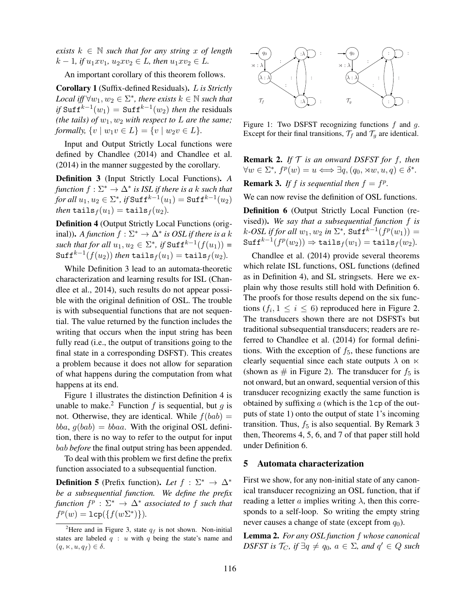*exists*  $k \in \mathbb{N}$  *such that for any string* x of length  $k-1$ *, if*  $u_1xv_1$ *,*  $u_2xv_2 \in L$ *, then*  $u_1xv_2 \in L$ *.* 

An important corollary of this theorem follows.

Corollary 1 (Suffix-defined Residuals). L *is Strictly*  $Local$  iff  $\forall w_1, w_2 \in \Sigma^*$ , there exists  $k \in \mathbb{N}$  such that  $if$  Suff<sup> $k-1$ </sup> $(w_1)$  = Suff $k-1$  $(w_2)$  *then the* residuals *(the tails) of*  $w_1, w_2$  *with respect to*  $\overline{L}$  *are the same; formally,*  $\{v \mid w_1v \in L\} = \{v \mid w_2v \in L\}.$ 

Input and Output Strictly Local functions were defined by Chandlee (2014) and Chandlee et al. (2014) in the manner suggested by the corollary.

Definition 3 (Input Strictly Local Functions). *A function* f : Σ<sup>∗</sup> → ∆<sup>∗</sup> *is ISL if there is a* k *such that for all*  $u_1, u_2 \in \Sigma^*$ , *if* Suff<sup>k-1</sup> $(u_1)$  = Suff<sup>k-1</sup> $(u_2)$ *then* tails  $f(u_1) = \text{tails } f(u_2)$ *.* 

Definition 4 (Output Strictly Local Functions (original)). *A function*  $f : \Sigma^* \to \Delta^*$  is *OSL if there is a k*  $\textit{such that for all } u_1, u_2 \in \Sigma^*, \textit{if } \text{Suff}^{k-1}(f(u_1)) =$  $\texttt{Suff}^{k-1}(f(u_2))$  *then*  $\texttt{tails}_f(u_1) = \texttt{tails}_f(u_2).$ 

While Definition 3 lead to an automata-theoretic characterization and learning results for ISL (Chandlee et al., 2014), such results do not appear possible with the original definition of OSL. The trouble is with subsequential functions that are not sequential. The value returned by the function includes the writing that occurs when the input string has been fully read (i.e., the output of transitions going to the final state in a corresponding DSFST). This creates a problem because it does not allow for separation of what happens during the computation from what happens at its end.

Figure 1 illustrates the distinction Definition 4 is unable to make.<sup>2</sup> Function f is sequential, but g is not. Otherwise, they are identical. While  $f(bab)$  =  $bba, q(bab) = bbaa$ . With the original OSL definition, there is no way to refer to the output for input bab *before* the final output string has been appended.

To deal with this problem we first define the prefix function associated to a subsequential function.

**Definition 5** (Prefix function). Let  $f : \Sigma^* \to \Delta^*$ *be a subsequential function. We define the prefix*  $f$ <sup>*p*</sup>  $: \Sigma^* \to \Delta^*$  *associated to f such that*  $f^p(w) = \texttt{lcp}(\{f(w\Sigma^*)\}).$ 



Figure 1: Two DSFST recognizing functions  $f$  and  $g$ . Except for their final transitions,  $\mathcal{T}_f$  and  $\mathcal{T}_g$  are identical.

Remark 2. *If* T *is an onward DSFST for* f*, then*  $\forall w \in \Sigma^*, f^p(w) = u \Longleftrightarrow \exists q, (q_0, \lambda w, u, q) \in \delta^*.$ 

**Remark 3.** If f is sequential then  $f = f^p$ .

We can now revise the definition of OSL functions.

Definition 6 (Output Strictly Local Function (revised)). *We say that a subsequential function* f *is*  $k\text{-}OSL$  if for all  $w_1, w_2$  in  $\Sigma^*$ ,  $\texttt{Suff}^{k-1}(f^p(w_1)) = 0$  $\texttt{Suff}^{k-1}(f^p(w_2)) \Rightarrow \texttt{tails}_f(w_1) = \texttt{tails}_f(w_2).$ 

traditional subsequential transducers; readers are re-Chandlee et al. (2014) provide several theorems which relate ISL functions, OSL functions (defined as in Definition 4), and SL stringsets. Here we explain why those results still hold with Definition 6. The proofs for those results depend on the six functions  $(f_i, 1 \leq i \leq 6)$  reproduced here in Figure 2. The transducers shown there are not DSFSTs but ferred to Chandlee et al. (2014) for formal definitions. With the exception of  $f_5$ , these functions are clearly sequential since each state outputs  $\lambda$  on  $\ltimes$ (shown as  $\#$  in Figure 2). The transducer for  $f_5$  is not onward, but an onward, sequential version of this transducer recognizing exactly the same function is obtained by suffixing  $\alpha$  (which is the lcp of the outputs of state 1) onto the output of state 1's incoming transition. Thus,  $f_5$  is also sequential. By Remark 3 then, Theorems 4, 5, 6, and 7 of that paper still hold under Definition 6.

### 5 Automata characterization

First we show, for any non-initial state of any canonical transducer recognizing an OSL function, that if reading a letter  $\alpha$  implies writing  $\lambda$ , then this corresponds to a self-loop. So writing the empty string never causes a change of state (except from  $q_0$ ).

Lemma 2. *For any OSL function* f *whose canonical*  $DSFST$  is  $\mathcal{T}_C$ , if  $\exists q \neq q_0$ ,  $a \in \Sigma$ , and  $q' \in Q$  such

<sup>&</sup>lt;sup>2</sup>Here and in Figure 3, state  $q_f$  is not shown. Non-initial states are labeled  $q : u$  with q being the state's name and  $(q, \ltimes, u, q_f) \in \delta.$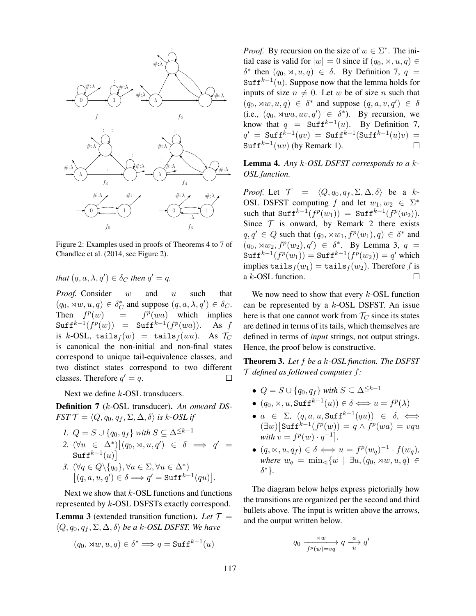

Figure 2: Examples used in proofs of Theorems 4 to 7 of Chandlee et al. (2014, see Figure 2).

*that*  $(q, a, \lambda, q') \in \delta_C$  *then*  $q' = q$ *.* 

*Proof.* Consider w and u such that  $(q_0, \lambda w, u, q) \in \delta_C^*$  and suppose  $(q, a, \lambda, q') \in \delta_C$ . Then  $f^p$  $p(wa)$  which implies  $=$   $\texttt{Suff}^{k-1}(f^p(w)) = \texttt{Suff}^{k-1}(f^p(wa)).$  As f is k-OSL, tails $f(w)$  = tails $f(wa)$ . As  $\mathcal{T}_C$ is canonical the non-initial and non-final states 1 correspond to unique tail-equivalence classes, and two distinct states correspond to two different classes. Therefore  $q' = q$ .  $\Box$ 

Next we define *k*-OSL transducers.

Definition 7 (k-OSL transducer). *An onward DS-FST*  $\mathcal{T} = \langle Q, q_0, q_f, \Sigma, \Delta, \delta \rangle$  *is k*-*OSL if* 

\n- 1. 
$$
Q = S \cup \{q_0, q_f\}
$$
 with  $S \subseteq \Delta^{\leq k-1}$
\n- 2.  $(\forall u \in \Delta^*) \big[ (q_0, \times, u, q') \in \delta \implies q' =$   $\text{Suff}^{k-1}(u) \big]$
\n- 3.  $(\forall q \in Q \setminus \{q_0\}, \forall a \in \Sigma, \forall u \in \Delta^*)$
\n

$$
\begin{array}{c}\n\text{S. } \left(\forall q \in \mathcal{Q} \setminus \{q_0\}\right), \forall a \in \mathcal{Z}, \forall a \in \mathcal{\Delta} \\
\left[\left(q, a, u, q'\right) \in \delta \Longrightarrow q' = \text{Suff}^{k-1}(qu)\right].\n\end{array}
$$

Next we show that  $k$ -OSL functions and functions represented by k-OSL DSFSTs exactly correspond.

**Lemma 3** (extended transition function). Let  $T =$  $\langle Q, q_0, q_f, \Sigma, \Delta, \delta \rangle$  *be a k-OSL DSFST. We have* 

$$
(q_0, \forall w, u, q) \in \delta^* \Longrightarrow q = \text{Suff}^{k-1}(u)
$$

*Proof.* By recursion on the size of  $w \in \Sigma^*$ . The initial case is valid for  $|w| = 0$  since if  $(q_0, \times, u, q) \in$  $\delta^*$  then  $(q_0, \times, u, q) \in \delta$ . By Definition 7,  $q =$ Suff<sup> $k-1(u)$ </sup>. Suppose now that the lemma holds for inputs of size  $n \neq 0$ . Let w be of size n such that  $(q_0, \lambda w, u, q) \in \delta^*$  and suppose  $(q, a, v, q') \in \delta$ (i.e.,  $(q_0, \lambda wa, uv, q') \in \delta^*$ ). By recursion, we know that  $q = \text{Suff}^{k-1}(u)$ . By Definition 7,  $q' \ = \ {\tt Suff}^{k-1}(qv) \ = \ {\tt Suff}^{k-1}({\tt Suff}^{k-1}(u)v) \ =$ Suff<sup> $k-1(uv)$ </sup> (by Remark 1).  $\Box$ 

Lemma 4. *Any* k*-OSL DSFST corresponds to a* k*-OSL function.*

*Proof.* Let  $\mathcal{T} = \langle Q, q_0, q_f, \Sigma, \Delta, \delta \rangle$  be a k-OSL DSFST computing f and let  $w_1, w_2 \in \Sigma^*$ such that  $\text{Suff}^{k-1}(f^p(w_1)) = \text{Suff}^{k-1}(f^p(w_2)).$ Since  $T$  is onward, by Remark 2 there exists  $q, q' \in Q$  such that  $(q_0, \times w_1, f^p(w_1), q) \in \delta^*$  and  $(q_0, \lambda w_2, f^p(w_2), q') \in \delta^*$ . By Lemma 3,  $q =$  $\texttt{Suff}^{k-1}(f^p(w_1)) = \texttt{Suff}^{k-1}(f^p(w_2)) = q'$  which implies tails $f(w_1) = \text{tails}_f(w_2)$ . Therefore f is a k-OSL function.  $\Box$ 

We now need to show that every  $k$ -OSL function can be represented by a  $k$ -OSL DSFST. An issue here is that one cannot work from  $\mathcal{T}_C$  since its states are defined in terms of its tails, which themselves are defined in terms of *input* strings, not output strings. Hence, the proof below is constructive.

Theorem 3. *Let* f *be a* k*-OSL function. The DSFST* T *defined as followed computes* f*:*

- $Q = S \cup \{q_0, q_f\}$  *with*  $S \subseteq \Delta^{\leq k-1}$
- $(q_0, \times, u, \operatorname{Suff}^{k-1}(u)) \in \delta \Longleftrightarrow u = f^p(\lambda)$
- $\bullet$  *a* ∈ Σ*,* (*q, a, u,* Suff<sup>k-1</sup>(*qu*)) ∈ δ, ⇔  $(\exists w) [\texttt{Suff}^{k-1}(f^p(w)) = q \wedge f^p(wa) = vqu$ *with*  $v = f^p(w) \cdot q^{-1}$ ,
- $(q, \kappa, u, q_f) \in \delta \Longleftrightarrow u = f^p(w_q)^{-1} \cdot f(w_q)$ , *where*  $w_q = \min_{\lhd} \{w \mid \exists u, (q_0, \rtimes w, u, q) \in$ δ ∗}*.*

The diagram below helps express pictorially how the transitions are organized per the second and third bullets above. The input is written above the arrows, and the output written below.

$$
q_0 \xrightarrow{ \rtimes w \atop f^p(w) = vq } q \xrightarrow{a} q'
$$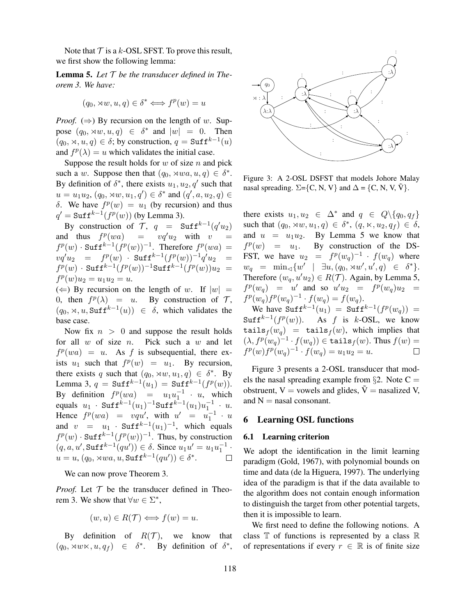Note that  $T$  is a k-OSL SFST. To prove this result, we first show the following lemma:

Lemma 5. *Let* T *be the transducer defined in Theorem 3. We have:*

$$
(q_0, \times w, u, q) \in \delta^* \iff f^p(w) = u
$$

*Proof.*  $(\Rightarrow)$  By recursion on the length of w. Suppose  $(q_0, \lambda w, u, q) \in \delta^*$  and  $|w| = 0$ . Then  $(q_0, \times, u, q) \in \delta$ ; by construction,  $q = \text{Suff}^{k-1}(u)$ and  $f^p(\lambda) = u$  which validates the initial case.

Suppose the result holds for  $w$  of size  $n$  and pick such a w. Suppose then that  $(q_0, \times wa, u, q) \in \delta^*$ . By definition of  $\delta^*$ , there exists  $u_1, u_2, q'$  such that  $u = u_1 u_2, (q_0, \times w, u_1, q') \in \delta^*$  and  $(q', a, u_2, q) \in$ δ. We have  $f<sup>p</sup>(w) = u<sub>1</sub>$  (by recursion) and thus  $q' = \text{Suff}^{k-1}(f^p(w))$  (by Lemma 3).

By construction of  $\mathcal{T}$ ,  $q = \text{Suff}^{k-1}(q'u_2)$ and thus  $f^p(wa) = vq'u_2$  with  $v =$  $f^p(w)$  · Suff<sup>k-1</sup> $(f^p(w))^{-1}$ . Therefore  $f^p(wa) =$  $vq'u_2 = f^p(w) \cdot {\tt Suff}^{k-1}(f^p(w))^{-1}q'u_2 =$  $f^p(w)$  · Suff<sup>k-1</sup> $(f^p(w))^{-1}$ Suff<sup>k-1</sup> $(f^p(w))u_2 =$  $f^p(w)u_2 = u_1u_2 = u.$ 

 $(\Leftarrow)$  By recursion on the length of w. If  $|w| =$ 0, then  $f^p(\lambda) = u$ . By construction of  $\mathcal{T}$ ,  $(q_0, \times, u, \text{Suff}^{k-1}(u)) \in \delta$ , which validates the base case.

Now fix  $n > 0$  and suppose the result holds for all  $w$  of size  $n$ . Pick such a  $w$  and let  $f<sup>p</sup>(wa) = u$ . As f is subsequential, there exists  $u_1$  such that  $f^p(w) = u_1$ . By recursion, there exists q such that  $(q_0, \times w, u_1, q) \in \delta^*$ . By Lemma 3,  $q = \text{Suff}^{k-1}(u_1) = \text{Suff}^{k-1}(f^p(w)).$ By definition  $f^p(wa) = u_1 u_1^{-1} \cdot u$ , which equals  $u_1 \cdot \text{Suff}^{k-1}(u_1)^{-1} \text{Suff}^{k-1}(u_1) u_1^{-1} \cdot u.$ Hence  $f^p(wa) = vqu'$ , with  $u' = u_1^{-1} \cdot u$ and  $v = u_1 \cdot \text{Suff}^{k-1}(u_1)^{-1}$ , which equals  $f^p(w) \cdot \text{Suff}^{k-1}(f^p(w))^{-1}$ . Thus, by construction  $(q, a, u', \text{Suff}^{k-1}(qu')) \in \delta$ . Since  $u_1u' = u_1u_1^{-1}$ .  $u = u, (q_0, \times wa, u, \text{Suff}^{k-1}(qu')) \in \delta^*.$ 

We can now prove Theorem 3.

*Proof.* Let  $T$  be the transducer defined in Theorem 3. We show that  $\forall w \in \Sigma^*$ ,

$$
(w, u) \in R(\mathcal{T}) \Longleftrightarrow f(w) = u.
$$

By definition of  $R(\mathcal{T})$ , we know that  $(q_0, \lambda w \times, u, q_f) \in \delta^*$ . By definition of  $\delta^*$ ,



Figure 3: A 2-OSL DSFST that models Johore Malay nasal spreading.  $\Sigma = \{C, N, V\}$  and  $\Delta = \{C, N, V, \tilde{V}\}.$ 

there exists  $u_1, u_2 \in \Delta^*$  and  $q \in Q \setminus \{q_0, q_f\}$ such that  $(q_0, \times w, u_1, q) \in \delta^*$ ,  $(q, \times, u_2, q_f) \in \delta$ , and  $u = u_1u_2$ . By Lemma 5 we know that  $f^p(w) = u_1$ . By construction of the DS-FST, we have  $u_2 = f^p(w_q)^{-1} \cdot f(w_q)$  where  $w_q = \min_{\lhd} \{w' \mid \exists u, (q_0, \rtimes w', u', q) \in \delta^*\}.$ Therefore  $(w_q, u'u_2) \in R(\mathcal{T})$ . Again, by Lemma 5,  $f^p(w_q) = u'$  and so  $u'u_2 = f^p(w_q)u_2 =$  $f^p(w_q) f^p(w_q)^{-1} \cdot f(w_q) = f(w_q).$ 

We have  $\text{Suff}^{k-1}(u_1) = \text{Suff}^{k-1}(f^p(w_q)) =$ Suff<sup> $k-1$ </sup>( $f^p(w)$ ). As f is k-OSL, we know tails $f(w_q)$  = tails $f(w)$ , which implies that  $(\lambda, f^p(w_q)^{-1} \cdot f(w_q)) \in \mathtt{tails}_f(w).$  Thus  $f(w) =$  $f^p(w)f^p(w_q)^{-1} \cdot f(w_q) = u_1u_2 = u.$ 

els the nasal spreading example from §2. Note  $C =$ Figure 3 presents a 2-OSL transducer that modobstruent,  $V =$  vowels and glides,  $\tilde{V} =$  nasalized V, and  $N =$  nasal consonant.

### 6 Learning OSL functions

### 6.1 Learning criterion

We adopt the identification in the limit learning paradigm (Gold, 1967), with polynomial bounds on time and data (de la Higuera, 1997). The underlying idea of the paradigm is that if the data available to the algorithm does not contain enough information to distinguish the target from other potential targets, then it is impossible to learn.

We first need to define the following notions. A class  $\mathbb T$  of functions is represented by a class  $\mathbb R$ of representations if every  $r \in \mathbb{R}$  is of finite size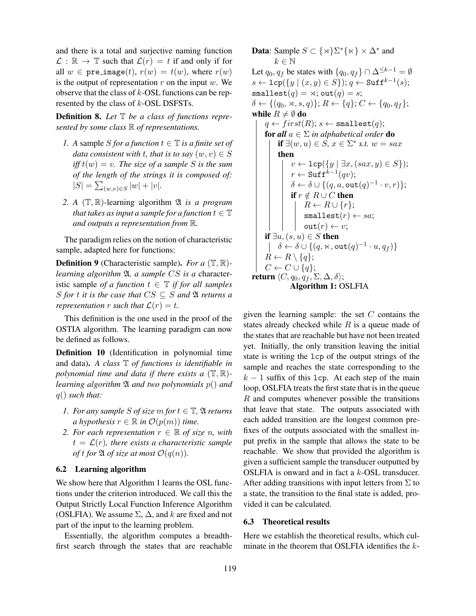and there is a total and surjective naming function  $\mathcal{L}: \mathbb{R} \to \mathbb{T}$  such that  $\mathcal{L}(r) = t$  if and only if for all  $w \in \text{pre}\_\text{image}(t), r(w) = t(w)$ , where  $r(w)$ is the output of representation  $r$  on the input  $w$ . We observe that the class of  $k$ -OSL functions can be represented by the class of k-OSL DSFSTs.

Definition 8. *Let* T *be a class of functions represented by some class* R *of representations.*

- *1.* A sample S for a function  $t \in \mathbb{T}$  is a finite set of *data consistent with t, that is to say*  $(w, v) \in S$  $\text{if } f(w) = v$ . The size of a sample S is the sum *of the length of the strings it is composed of:*  $|S| = \sum_{(w,v) \in S} |w| + |v|$ .
- *2. A* (T, R)-learning algorithm A *is a program that takes as input a sample for a function*  $t \in \mathbb{T}$ *and outputs a representation from* R*.*

The paradigm relies on the notion of characteristic sample, adapted here for functions:

Definition 9 (Characteristic sample). *For a* (T, R) *learning algorithm*  $\mathfrak{A}$ *, a sample CS is a character*istic sample *of a function*  $t \in \mathbb{T}$  *if for all samples* S for *t* it is the case that  $CS \subseteq S$  and  $\mathfrak A$  returns a *representation*  $r$  *such that*  $\mathcal{L}(r) = t$ .

This definition is the one used in the proof of the OSTIA algorithm. The learning paradigm can now be defined as follows.

Definition 10 (Identification in polynomial time and data). *A class* T *of functions is identifiable in polynomial time and data if there exists a* (T, R) *learning algorithm* A *and two polynomials* p() *and* q() *such that:*

- *1. For any sample S of size m for*  $t \in \mathbb{T}$ *,*  $\mathfrak{A}$  *returns a hypothesis*  $r \in \mathbb{R}$  *in*  $\mathcal{O}(p(m))$  *time.*
- *2. For each representation*  $r \in \mathbb{R}$  *of size n, with*  $t = \mathcal{L}(r)$ , there exists a characteristic sample *of* t for  $\mathfrak A$  *of size at most*  $\mathcal O(q(n))$ *.*

### 6.2 Learning algorithm

We show here that Algorithm 1 learns the OSL functions under the criterion introduced. We call this the Output Strictly Local Function Inference Algorithm (OSLFIA). We assume  $\Sigma$ ,  $\Delta$ , and k are fixed and not part of the input to the learning problem.

Essentially, the algorithm computes a breadthfirst search through the states that are reachable

**Data**: Sample  $S \subset \{\times\} \Sigma^* \{\times\} \times \Delta^*$  and  $k \in \mathbb{N}$ Let  $q_0, q_f$  be states with  $\{q_0, q_f\} \cap \Delta^{\leq k-1} = \emptyset$  $s \leftarrow \texttt{lcp}(\{y \mid (x, y) \in S\}); q \leftarrow \texttt{Suff}^{k-1}(s);$ smallest $(q) = \times$ ; out $(q) = s$ ;  $\delta \leftarrow \{(q_0, \times, s, q)\}; R \leftarrow \{q\}; C \leftarrow \{q_0, q_f\};$ while  $R \neq \emptyset$  do  $q \leftarrow first(R); s \leftarrow \texttt{smallest}(q);$ **for all**  $a \in \Sigma$  *in alphabetical order* **do** if  $\exists (w, u) \in S$ ,  $x \in \Sigma^*$  *s.t.*  $w = sax$ then  $v \leftarrow \texttt{lcp}(\{y \mid \exists x, (sax, y) \in S\});$  $r \leftarrow \texttt{Suff}^{k-1}(qv);$  $\delta \leftarrow \delta \cup \{(q, a, \texttt{out}(q)^{-1} \cdot v, r)\};$ if  $r \notin R \cup C$  then  $R \leftarrow R \cup \{r\};$  $smallest(r) \leftarrow sa;$  $\mathtt{out}(r) \leftarrow v;$ if  $\exists u, (s, u) \in S$  then  $\delta \leftarrow \delta \cup \{(q, \ltimes, \mathsf{out}(q)^{-1} \cdot u, q_f)\}$  $R \leftarrow R \setminus \{q\};$  $C \leftarrow C \cup \{q\};$ return  $\langle C, q_0, q_f, \Sigma, \Delta, \delta \rangle;$ Algorithm 1: OSLFIA

given the learning sample: the set  $C$  contains the states already checked while  $R$  is a queue made of the states that are reachable but have not been treated yet. Initially, the only transition leaving the initial state is writing the lcp of the output strings of the sample and reaches the state corresponding to the  $k - 1$  suffix of this lcp. At each step of the main loop, OSLFIA treats the first state that is in the queue R and computes whenever possible the transitions that leave that state. The outputs associated with each added transition are the longest common prefixes of the outputs associated with the smallest input prefix in the sample that allows the state to be reachable. We show that provided the algorithm is given a sufficient sample the transducer outputted by OSLFIA is onward and in fact a k-OSL transducer. After adding transitions with input letters from  $\Sigma$  to a state, the transition to the final state is added, provided it can be calculated.

### 6.3 Theoretical results

Here we establish the theoretical results, which culminate in the theorem that OSLFIA identifies the k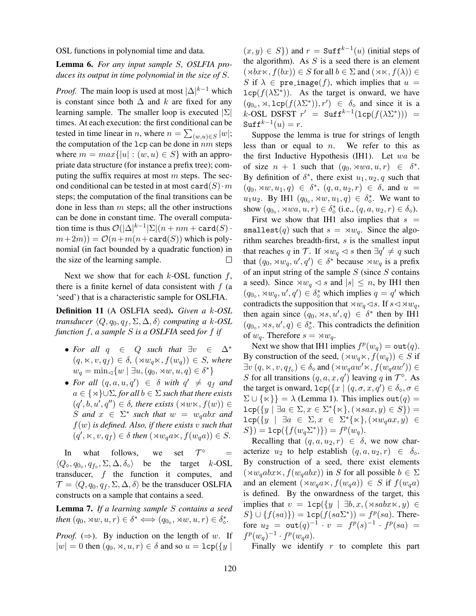OSL functions in polynomial time and data.

## Lemma 6. *For any input sample* S*, OSLFIA produces its output in time polynomial in the size of* S*.*

*Proof.* The main loop is used at most  $|\Delta|^{k-1}$  which is constant since both  $\Delta$  and k are fixed for any learning sample. The smaller loop is executed  $|\Sigma|$ times. At each execution: the first conditional can be tested in time linear in *n*, where  $n = \sum_{(w,u) \in S} |w|$ ; the computation of the  $1cp$  can be done in  $nm$  steps where  $m = max{ |u| : (w, u) \in S }$  with an appropriate data structure (for instance a prefix tree); computing the suffix requires at most  $m$  steps. The second conditional can be tested in at most card(S)  $\cdot m$ steps; the computation of the final transitions can be done in less than  $m$  steps; all the other instructions can be done in constant time. The overall computation time is thus  $\mathcal{O}(|\Delta|^{k-1}|\Sigma|(n+nm+\texttt{card}(S))$  $(m+2m)) = \mathcal{O}(n+m(n+\text{card}(S))$  which is polynomial (in fact bounded by a quadratic function) in the size of the learning sample.  $\Box$ 

Next we show that for each  $k$ -OSL function  $f$ , there is a finite kernel of data consistent with  $f$  (a 'seed') that is a characteristic sample for OSLFIA.

Definition 11 (A OSLFIA seed). *Given a* k*-OSL transducer*  $\langle Q, q_0, q_f, \Sigma, \Delta, \delta \rangle$  *computing a k-OSL function* f*, a sample* S *is a OSLFIA* seed *for* f *if*

- For all  $q \in Q$  such that  $\exists v \in \Delta^*$  $(q, \kappa, v, q_f) \in \delta$ ,  $(\forall w_a \kappa, f(w_a)) \in S$ , where  $w_q = \min_{\lhd} \{w \mid \exists u, (q_0, \rtimes w, u, q) \in \delta^*\}\$
- For all  $(q, a, u, q') \in \delta$  with  $q' \neq q_f$  and  $a \in \{ \times \} \cup \Sigma$ , for all  $b \in \Sigma$  such that there exists  $(q', b, u', q'') \in \delta$ , there exists  $(\forall w \times, f(w)) \in$  $S$  *and*  $x \in \Sigma^*$  *such that*  $w = w_qabx$  *and* f(w) *is defined. Also, if there exists* v *such that*  $(q', \Join, v, q_f) \in \delta$  then  $(\Join w_q a \Join, f(w_q a)) \in S$ .

In what follows, we set  $\mathcal{T}^{\diamond}$  =  $\langle Q_{\diamond}, q_{0_{\diamond}}, q_{f_{\diamond}}, \Sigma, \Delta, \delta_{\diamond} \rangle$  be the target k-OSL transducer, f the function it computes, and  $\mathcal{T} = \langle Q, q_0, q_f, \Sigma, \Delta, \delta \rangle$  be the transducer OSLFIA constructs on a sample that contains a seed.

Lemma 7. *If a learning sample* S *contains a seed then*  $(q_0, \lambda w, u, r) \in \delta^* \Longleftrightarrow (q_{0_\diamond}, \lambda w, u, r) \in \delta^*_\diamond$ .

*Proof.*  $(\Rightarrow)$ . By induction on the length of w. If  $|w| = 0$  then  $(q_0, \times, u, r) \in \delta$  and so  $u = \text{lcp}(\lbrace y \rbrace)$ 

 $(x, y) \in S$ ) and  $r = \text{Suff}^{k-1}(u)$  (initial steps of the algorithm). As  $S$  is a seed there is an element  $(\forall b\, x \times f(bx)) \in S$  for all  $b \in \Sigma$  and  $(\forall x \times f(\lambda)) \in$ S if  $\lambda \in \text{pre\_image}(f)$ , which implies that  $u =$  $\text{Lcp}(f(\lambda \Sigma^*))$ . As the target is onward, we have  $(q_{0\circ}, \times, \text{Lcp}(f(\lambda \Sigma^*)), r') \in \delta_{\diamond}$  and since it is a  $k\text{-OSL}$  DSFST  $r' = \text{Suff}^{k-1}(\text{Lcp}(f(\lambda \Sigma^*))) =$  $\texttt{Suff}^{k-1}(u) = r.$ 

Suppose the lemma is true for strings of length less than or equal to  $n$ . We refer to this as the first Inductive Hypothesis (IH1). Let wa be of size  $n + 1$  such that  $(q_0, \times w\alpha, u, r) \in \delta^*$ . By definition of  $\delta^*$ , there exist  $u_1, u_2, q$  such that  $(q_0, \rtimes w, u_1, q) \in \delta^*, (q, a, u_2, r) \in \delta, \text{ and } u =$  $u_1u_2$ . By IH1  $(q_{0\circ}, \times w, u_1, q) \in \delta^*_{\diamond}$ . We want to show  $(q_{0\circ}, \times wa, u, r) \in \delta_{\circ}^{*}$  (i.e.,  $(q, a, u_2, r) \in \delta_{\circ}$ ).

First we show that IH1 also implies that  $s =$ smallest(q) such that  $s = \times w_q$ . Since the algorithm searches breadth-first,  $s$  is the smallest input that reaches q in  $\mathcal{T}$ . If  $\rtimes w_q \lt s$  then  $\exists q' \neq q$  such that  $(q_0, \times w_q, u', q') \in \delta^*$  because  $\times w_q$  is a prefix of an input string of the sample  $S$  (since  $S$  contains a seed). Since  $\forall w_q \leq s$  and  $|s| \leq n$ , by IH1 then  $(q_{0\circ}, \times w_q, u', q') \in \delta_{\diamond}^*$  which implies  $q = q'$  which contradicts the supposition that  $\forall w_q \triangleleft s$ . If  $s \triangleleft \forall w_q$ , then again since  $(q_0, \rtimes s, u', q) \in \delta^*$  then by IH1  $(q_{0\circ}, \rtimes s, u', q) \in \delta_{\diamond}^*$ . This contradicts the definition of  $w_q$ . Therefore  $s = \rtimes w_q$ .

Next we show that IH1 implies  $f^p(w_q) = \text{out}(q)$ . By construction of the seed,  $(\forall w_q \forall x, f(w_q)) \in S$  if  $\exists v (q, \kappa, v, q_{f_{\diamond}}) \in \delta_{\diamond}$  and  $(\rtimes w_q a w' \ltimes, f(w_q a w')) \in$ S for all transitions  $(q, a, x, q')$  leaving q in  $\mathcal{T}^{\diamond}$ . As the target is onward,  $\text{Lcp}(\lbrace x \mid (q, \sigma, x, q') \in \delta_{\diamond}, \sigma \in$  $\Sigma \cup {\{\kappa\}} = \lambda$  (Lemma 1). This implies out $(q)$  =  $\texttt{lcp}(\lbrace y\mid \exists a\in\Sigma, x\in\Sigma^*\lbrace \ltimes \rbrace, (\rtimes s a x, y)\in S\rbrace)=$  $\mathtt{lcp}(\lbrace y \mid \exists a \in \Sigma, x \in \Sigma^* \lbrace \ltimes \rbrace, (\rtimes w_q a x, y) \in$  $S$ }) =  $1cp({f(w_q \Sigma^*))}$  =  $f^p(w_q)$ .

Recalling that  $(q, a, u_2, r) \in \delta$ , we now characterize  $u_2$  to help establish  $(q, a, u_2, r) \in \delta_{\diamond}$ . By construction of a seed, there exist elements  $(\forall w_a abx \times f(w_aabx))$  in S for all possible  $b \in \Sigma$ and an element  $(\forall w_q a \times, f(w_q a)) \in S$  if  $f(w_q a)$ is defined. By the onwardness of the target, this implies that  $v = \text{lcp}(\{y \mid \exists b, x, (\times sabx \times, y) \in$  $S\} \cup \{f(sa)\}) = \text{Lcp}(f(sa\Sigma^*)) = f^p(sa)$ . Therefore  $u_2 = \texttt{out}(q)^{-1} \cdot v = f^p(s)^{-1} \cdot f^p(sa) =$  $f^p(w_q)^{-1} \cdot f^p(w_qa)$ .

Finally we identify  $r$  to complete this part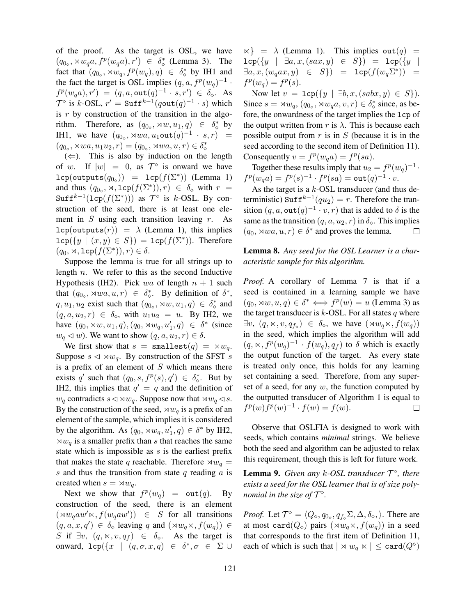of the proof. As the target is OSL, we have  $(q_{0\circ}, \times w_q a, f^p(w_q a), r') \in \delta_{\diamond}^*$  (Lemma 3). The fact that  $(q_{0\circ}, \forall w_q, f^p(w_q), q) \in \delta_{\diamond}^*$  by IH1 and the fact the target is OSL implies  $(q, a, f^p(w_q)^{-1}$ .  $f^p(w_qa), r') = (q, a, \text{out}(q)^{-1} \cdot s, r') \in \delta_{\diamond}.$  As  $\mathcal{T}^{\diamond}$  is k-OSL,  $r' = \text{Suff}^{k-1}(q \text{out}(q)^{-1} \cdot s)$  which is  $r$  by construction of the transition in the algorithm. Therefore, as  $(q_{0\circ}, \forall w, u_1, q) \in \delta_{\diamond}^*$  by IH1, we have  $(q_{0\circ}, \times wa, u_1 \circ ut(q)^{-1} \cdot s, r) =$  $(q_{0\circ}, \times wa, u_1u_2, r) = (q_{0\circ}, \times wa, u, r) \in \delta_{\diamond}^*$ 

 $(\Leftarrow)$ . This is also by induction on the length of w. If  $|w| = 0$ , as  $\mathcal{T}^{\diamond}$  is onward we have  $\mathsf{lcp}(\mathsf{outputs}(q_{0_\diamond})) = \mathsf{lcp}(f(\Sigma^*))$  (Lemma 1) and thus  $(q_{0\circ}, \times, \text{Lcp}(f(\Sigma^*)), r) \in \delta_{\circ}$  with  $r =$ Suff<sup> $k-1$ </sup>(1cp( $f(\Sigma^*))$ ) as  $\mathcal{T}^{\diamond}$  is  $k$ -OSL. By construction of the seed, there is at least one element in  $S$  using each transition leaving  $r$ . As  $lcp(outputs(r)) = \lambda$  (Lemma 1), this implies  $\texttt{lcp}(\lbrace y \mid (x,y) \in S \rbrace) = \texttt{lcp}(f(\Sigma^*))$ . Therefore  $(q_0, \rtimes, \texttt{lcp}(f(\Sigma^*)), r) \in \delta.$ 

Suppose the lemma is true for all strings up to length  $n$ . We refer to this as the second Inductive Hypothesis (IH2). Pick wa of length  $n + 1$  such that  $(q_{0\circ}, \forall wa, u, r) \in \delta_{\diamond}^*$ . By definition of  $\delta^*$ ,  $q, u_1, u_2$  exist such that  $(q_{0\circ}, \rtimes w, u_1, q) \in \delta_{\circ}^*$  and  $(q, a, u_2, r) \in \delta_{\diamond}$ , with  $u_1 u_2 = u$ . By IH2, we have  $(q_0, \times w, u_1, q), (q_0, \times w_q, u'_1, q) \in \delta^*$  (since  $w_q \lhd w$ ). We want to show  $(q, a, u_2, r) \in \delta$ .

We first show that  $s = \texttt{smallest}(q) = \times w_q$ . Suppose  $s \triangleleft \times w_q$ . By construction of the SFST s is a prefix of an element of  $S$  which means there exists q' such that  $(q_0, s, f^p(s), q') \in \delta_{\diamond}^*$ . But by IH2, this implies that  $q' = q$  and the definition of  $w_q$  contradicts  $s \triangleleft w_q$ . Suppose now that  $\triangleleft w_q \triangleleft s$ . By the construction of the seed,  $\forall w_q$  is a prefix of an element of the sample, which implies it is considered by the algorithm. As  $(q_0, \times w_q, u'_1, q) \in \delta^*$  by IH2,  $\forall w_q$  is a smaller prefix than s that reaches the same state which is impossible as s is the earliest prefix that makes the state q reachable. Therefore  $\forall w_q =$ s and thus the transition from state  $q$  reading  $\alpha$  is created when  $s = \times w_q$ .

Next we show that  $f^p(w_q) = \text{out}(q)$ . By construction of the seed, there is an element  $(\forall w_q a w' \times, f(w_q a w')) \in S$  for all transitions  $(q, a, x, q') \in \delta_{\diamond}$  leaving q and  $(\rtimes w_q \ltimes, f(w_q)) \in$ S if  $\exists v, (q, \times, v, q_f) \in \delta_{\diamond}$ . As the target is onward,  $\text{1cp}(\lbrace x \mid (q, \sigma, x, q) \in \delta^*, \sigma \in \Sigma \cup$ 

 $\{\times\}$  =  $\lambda$  (Lemma 1). This implies out $(q)$  =  $lcp({y \mid \exists a, x, (sax, y) \in S}) = lcp({y \mid \emptyset})$  $\exists a, x, (w_q a x, y) \in S$ ) =  $\texttt{lcp}(f(w_q \Sigma^*))$  =  $f^p(w_q) = f^p(s).$ 

Now let  $v = \text{lcp}(\{y \mid \exists b, x, (sabx, y) \in S\}).$ Since  $s = \times w_q$ ,  $(q_{0\circ}, \times w_q a, v, r) \in \delta_{\diamond}^*$  since, as before, the onwardness of the target implies the lcp of the output written from r is  $\lambda$ . This is because each possible output from  $r$  is in  $S$  (because it is in the seed according to the second item of Definition 11). Consequently  $v = f^p(w_q a) = f^p(sa)$ .

Together these results imply that  $u_2 = f^p(w_q)^{-1}$ .  $f^p(w_q a) = f^p(s)^{-1} \cdot f^p(sa) = \mathtt{out}(q)^{-1} \cdot v.$ 

As the target is a  $k$ -OSL transducer (and thus deterministic) Suf $f^{k-1}(qu_2) = r$ . Therefore the transition  $(q, a, \text{out}(q)^{-1} \cdot v, r)$  that is added to  $\delta$  is the same as the transition  $(q, a, u_2, r)$  in  $\delta_{\infty}$ . This implies  $(q_0, \times wa, u, r) \in \delta^*$  and proves the lemma.  $(q_0, \times wa, u, r) \in \delta^*$  and proves the lemma.

Lemma 8. *Any seed for the OSL Learner is a characteristic sample for this algorithm.*

*Proof.* A corollary of Lemma 7 is that if a seed is contained in a learning sample we have  $(q_0, \lambda w, u, q) \in \delta^* \Longleftrightarrow f^p(w) = u$  (Lemma 3) as the target transducer is  $k$ -OSL. For all states q where  $\exists v, (q, \kappa, v, q_{f_0}) \in \delta_{\diamond}$ , we have  $(\forall w_q \kappa, f(w_q))$ in the seed, which implies the algorithm will add  $(q, \times, f^p(w_q)^{-1} \cdot f(w_q), q_f)$  to  $\delta$  which is exactly the output function of the target. As every state is treated only once, this holds for any learning set containing a seed. Therefore, from any superset of a seed, for any  $w$ , the function computed by the outputted transducer of Algorithm 1 is equal to  $f^p(w)f^p(w)^{-1} \cdot f(w) = f(w).$  $\Box$ 

Observe that OSLFIA is designed to work with seeds, which contains *minimal* strings. We believe both the seed and algorithm can be adjusted to relax this requirement, though this is left for future work.

Lemma 9. *Given any* k*-OSL transducer* T *, there exists a seed for the OSL learner that is of size polynomial in the size of*  $T^{\diamond}$ *.* 

*Proof.* Let  $\mathcal{T}^{\diamond} = \langle Q_{\diamond}, q_{0_{\diamond}}, q_{f_{\diamond}} \Sigma, \Delta, \delta_{\diamond}, \rangle$ . There are at most card( $Q_{\diamond}$ ) pairs ( $\rtimes w_q \ltimes$ ,  $f(w_q)$ ) in a seed that corresponds to the first item of Definition 11, each of which is such that  $| \rtimes w_q \ltimes | \leq \text{card}(Q^{\diamond})$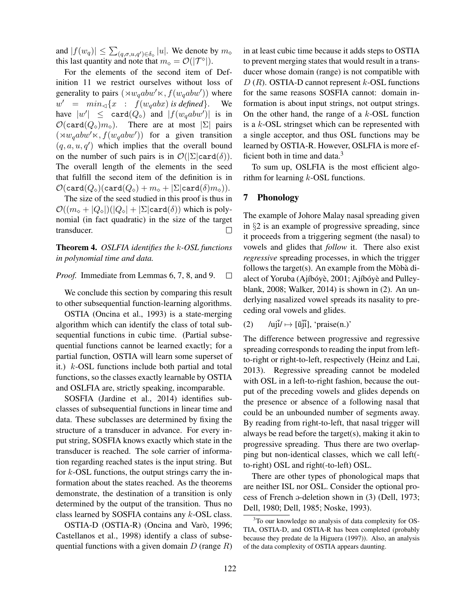and  $|f(w_q)| \leq \sum_{(q,\sigma,u,q') \in \delta_{\circ}} |u|$ . We denote by  $m_{\circ}$ this last quantity and note that  $m_{\diamond} = \mathcal{O}(|\mathcal{T}^{\diamond}|).$ 

For the elements of the second item of Definition 11 we restrict ourselves without loss of generality to pairs  $(\forall w_qabw' \times, f(w_qabw'))$  where  $w' = min_{\lhd} \{x : f(w_qabx) \text{ is defined}\}.$  We have  $|w'| \leq \text{card}(Q_{\diamond})$  and  $|f(w_qabw')|$  is in  $\mathcal{O}(\text{card}(Q_{\diamond})m_{\diamond}).$  There are at most  $|\Sigma|$  pairs  $(\forall w_qabw' \times f(w_qabw'))$  for a given transition  $(q, a, u, q')$  which implies that the overall bound on the number of such pairs is in  $\mathcal{O}(|\Sigma| \text{card}(\delta)).$ The overall length of the elements in the seed that fulfill the second item of the definition is in  $\mathcal{O}(\text{card}(Q_{\diamond})(\text{card}(Q_{\diamond}) + m_{\diamond} + |\Sigma|\text{card}(\delta)m_{\diamond})).$ 

The size of the seed studied in this proof is thus in  $\mathcal{O}((m_{\circ} + |Q_{\circ}|)(|Q_{\circ}| + |\Sigma|\text{card}(\delta))$  which is polynomial (in fact quadratic) in the size of the target transducer.  $\Box$ 

Theorem 4. *OSLFIA identifies the* k*-OSL functions in polynomial time and data.*

*Proof.* Immediate from Lemmas 6, 7, 8, and 9.  $\Box$ 

We conclude this section by comparing this result to other subsequential function-learning algorithms.

OSTIA (Oncina et al., 1993) is a state-merging algorithm which can identify the class of total subsequential functions in cubic time. (Partial subsequential functions cannot be learned exactly; for a partial function, OSTIA will learn some superset of it.) k-OSL functions include both partial and total functions, so the classes exactly learnable by OSTIA and OSLFIA are, strictly speaking, incomparable.

SOSFIA (Jardine et al., 2014) identifies subclasses of subsequential functions in linear time and data. These subclasses are determined by fixing the structure of a transducer in advance. For every input string, SOSFIA knows exactly which state in the transducer is reached. The sole carrier of information regarding reached states is the input string. But for  $k$ -OSL functions, the output strings carry the information about the states reached. As the theorems demonstrate, the destination of a transition is only determined by the output of the transition. Thus no class learned by SOSFIA contains any k-OSL class.

OSTIA-D (OSTIA-R) (Oncina and Varò, 1996; Castellanos et al., 1998) identify a class of subsequential functions with a given domain  $D$  (range  $R$ ) in at least cubic time because it adds steps to OSTIA to prevent merging states that would result in a transducer whose domain (range) is not compatible with  $D(R)$ . OSTIA-D cannot represent  $k$ -OSL functions for the same reasons SOSFIA cannot: domain information is about input strings, not output strings. On the other hand, the range of a  $k$ -OSL function is a  $k$ -OSL stringset which can be represented with a single acceptor, and thus OSL functions may be learned by OSTIA-R. However, OSLFIA is more efficient both in time and data. $3$ 

To sum up, OSLFIA is the most efficient algorithm for learning  $k$ -OSL functions.

### 7 Phonology

The example of Johore Malay nasal spreading given in §2 is an example of progressive spreading, since it proceeds from a triggering segment (the nasal) to vowels and glides that *follow* it. There also exist *regressive* spreading processes, in which the trigger follows the target(s). An example from the Mòbà dialect of Yoruba (Ajíbóyè, 2001; Ajíbóyè and Pulleyblank, 2008; Walker, 2014) is shown in (2). An underlying nasalized vowel spreads its nasality to preceding oral vowels and glides.

(2)  $\qquad \qquad \text{luj } \tilde{i} \rightarrow [\tilde{u} \tilde{j} \tilde{i}], \text{ 'praise}(n.)'$ 

The difference between progressive and regressive spreading corresponds to reading the input from leftto-right or right-to-left, respectively (Heinz and Lai, 2013). Regressive spreading cannot be modeled with OSL in a left-to-right fashion, because the output of the preceding vowels and glides depends on the presence or absence of a following nasal that could be an unbounded number of segments away. By reading from right-to-left, that nasal trigger will always be read before the target(s), making it akin to progressive spreading. Thus there are two overlapping but non-identical classes, which we call left( to-right) OSL and right(-to-left) OSL.

There are other types of phonological maps that are neither ISL nor OSL. Consider the optional process of French @-deletion shown in (3) (Dell, 1973; Dell, 1980; Dell, 1985; Noske, 1993).

<sup>&</sup>lt;sup>3</sup>To our knowledge no analysis of data complexity for OS-TIA, OSTIA-D, and OSTIA-R has been completed (probably because they predate de la Higuera (1997)). Also, an analysis of the data complexity of OSTIA appears daunting.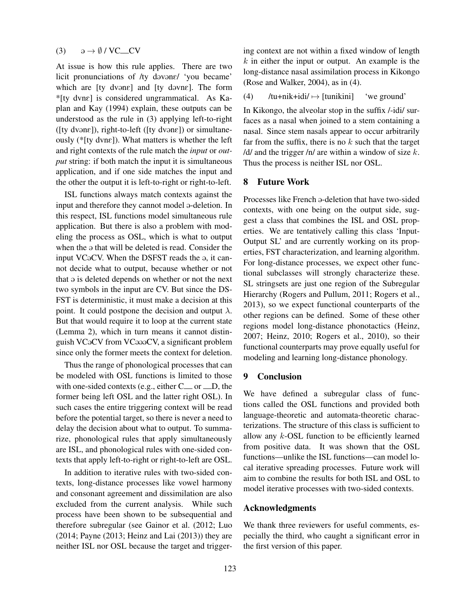### (3)  $\qquad \partial \rightarrow \emptyset / VC$  CV

At issue is how this rule applies. There are two licit pronunciations of /ty davane/ 'you became' which are  $[ty]$  dvanc $]$  and  $[ty]$  davne $]$ . The form \*[ty dvnE] is considered ungrammatical. As Kaplan and Kay (1994) explain, these outputs can be understood as the rule in (3) applying left-to-right ([ty dvən $\varepsilon$ ]), right-to-left ([ty dvən $\varepsilon$ ]) or simultaneously ( $*[ty]$  dvn $\varepsilon]$ ). What matters is whether the left and right contexts of the rule match the *input* or *output* string: if both match the input it is simultaneous application, and if one side matches the input and the other the output it is left-to-right or right-to-left.

ISL functions always match contexts against the input and therefore they cannot model a-deletion. In this respect, ISL functions model simultaneous rule application. But there is also a problem with modeling the process as OSL, which is what to output when the  $\varphi$  that will be deleted is read. Consider the input VCaCV. When the DSFST reads the a, it cannot decide what to output, because whether or not that  $\varphi$  is deleted depends on whether or not the next two symbols in the input are CV. But since the DS-FST is deterministic, it must make a decision at this point. It could postpone the decision and output  $\lambda$ . But that would require it to loop at the current state (Lemma 2), which in turn means it cannot distinguish VCaCV from VCaaaCV, a significant problem since only the former meets the context for deletion.

Thus the range of phonological processes that can be modeled with OSL functions is limited to those with one-sided contexts (e.g., either  $C_{\text{cm}}$  or  $D$ , the former being left OSL and the latter right OSL). In such cases the entire triggering context will be read before the potential target, so there is never a need to delay the decision about what to output. To summarize, phonological rules that apply simultaneously are ISL, and phonological rules with one-sided contexts that apply left-to-right or right-to-left are OSL.

In addition to iterative rules with two-sided contexts, long-distance processes like vowel harmony and consonant agreement and dissimilation are also excluded from the current analysis. While such process have been shown to be subsequential and therefore subregular (see Gainor et al. (2012; Luo (2014; Payne (2013; Heinz and Lai (2013)) they are neither ISL nor OSL because the target and triggering context are not within a fixed window of length  $k$  in either the input or output. An example is the long-distance nasal assimilation process in Kikongo (Rose and Walker, 2004), as in (4).

#### (4) /tu+nik+idi/  $\mapsto$  [tunikini] 'we ground'

In Kikongo, the alveolar stop in the suffix /-idi/ surfaces as a nasal when joined to a stem containing a nasal. Since stem nasals appear to occur arbitrarily far from the suffix, there is no  $k$  such that the target  $/d$  and the trigger /n/ are within a window of size  $k$ . Thus the process is neither ISL nor OSL.

### 8 Future Work

Processes like French a-deletion that have two-sided contexts, with one being on the output side, suggest a class that combines the ISL and OSL properties. We are tentatively calling this class 'Input-Output SL' and are currently working on its properties, FST characterization, and learning algorithm. For long-distance processes, we expect other functional subclasses will strongly characterize these. SL stringsets are just one region of the Subregular Hierarchy (Rogers and Pullum, 2011; Rogers et al., 2013), so we expect functional counterparts of the other regions can be defined. Some of these other regions model long-distance phonotactics (Heinz, 2007; Heinz, 2010; Rogers et al., 2010), so their functional counterparts may prove equally useful for modeling and learning long-distance phonology.

### 9 Conclusion

We have defined a subregular class of functions called the OSL functions and provided both language-theoretic and automata-theoretic characterizations. The structure of this class is sufficient to allow any k-OSL function to be efficiently learned from positive data. It was shown that the OSL functions—unlike the ISL functions—can model local iterative spreading processes. Future work will aim to combine the results for both ISL and OSL to model iterative processes with two-sided contexts.

### Acknowledgments

We thank three reviewers for useful comments, especially the third, who caught a significant error in the first version of this paper.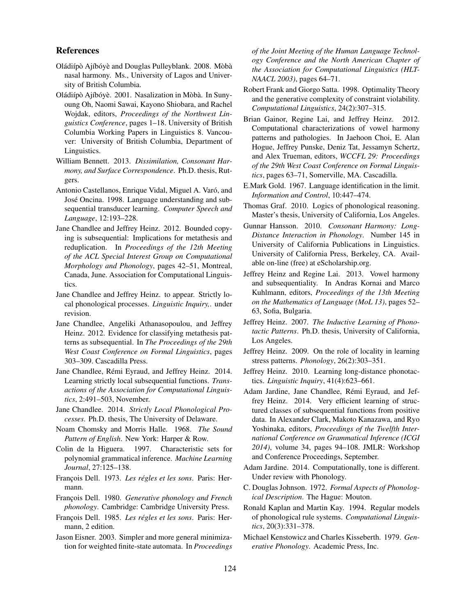### References

- Oládiípò Ajíbóyè and Douglas Pulleyblank. 2008. Mòbà nasal harmony. Ms., University of Lagos and University of British Columbia.
- Oládiípò Ajíbóyè. 2001. Nasalization in Mòbà. In Sunyoung Oh, Naomi Sawai, Kayono Shiobara, and Rachel Wojdak, editors, *Proceedings of the Northwest Linguistics Conference*, pages 1–18. University of British Columbia Working Papers in Linguistics 8. Vancouver: University of British Columbia, Department of Linguistics.
- William Bennett. 2013. *Dissimilation, Consonant Harmony, and Surface Correspondence*. Ph.D. thesis, Rutgers.
- Antonio Castellanos, Enrique Vidal, Miguel A. Varó, and José Oncina. 1998. Language understanding and subsequential transducer learning. *Computer Speech and Language*, 12:193–228.
- Jane Chandlee and Jeffrey Heinz. 2012. Bounded copying is subsequential: Implications for metathesis and reduplication. In *Proceedings of the 12th Meeting of the ACL Special Interest Group on Computational Morphology and Phonology*, pages 42–51, Montreal, Canada, June. Association for Computational Linguistics.
- Jane Chandlee and Jeffrey Heinz. to appear. Strictly local phonological processes. *Linguistic Inquiry,*. under revision.
- Jane Chandlee, Angeliki Athanasopoulou, and Jeffrey Heinz. 2012. Evidence for classifying metathesis patterns as subsequential. In *The Proceedings of the 29th West Coast Conference on Formal Linguistics*, pages 303–309. Cascadilla Press.
- Jane Chandlee, Rémi Eyraud, and Jeffrey Heinz. 2014. Learning strictly local subsequential functions. *Transactions of the Association for Computational Linguistics*, 2:491–503, November.
- Jane Chandlee. 2014. *Strictly Local Phonological Processes*. Ph.D. thesis, The University of Delaware.
- Noam Chomsky and Morris Halle. 1968. *The Sound Pattern of English*. New York: Harper & Row.
- Colin de la Higuera. 1997. Characteristic sets for polynomial grammatical inference. *Machine Learning Journal*, 27:125–138.
- François Dell. 1973. Les régles et les sons. Paris: Hermann.
- François Dell. 1980. *Generative phonology and French phonology*. Cambridge: Cambridge University Press.
- François Dell. 1985. *Les régles et les sons*. Paris: Hermann, 2 edition.
- Jason Eisner. 2003. Simpler and more general minimization for weighted finite-state automata. In *Proceedings*

*of the Joint Meeting of the Human Language Technology Conference and the North American Chapter of the Association for Computational Linguistics (HLT-NAACL 2003)*, pages 64–71.

- Robert Frank and Giorgo Satta. 1998. Optimality Theory and the generative complexity of constraint violability. *Computational Linguistics*, 24(2):307–315.
- Brian Gainor, Regine Lai, and Jeffrey Heinz. 2012. Computational characterizations of vowel harmony patterns and pathologies. In Jaehoon Choi, E. Alan Hogue, Jeffrey Punske, Deniz Tat, Jessamyn Schertz, and Alex Trueman, editors, *WCCFL 29: Proceedings of the 29th West Coast Conference on Formal Linguistics*, pages 63–71, Somerville, MA. Cascadilla.
- E.Mark Gold. 1967. Language identification in the limit. *Information and Control*, 10:447–474.
- Thomas Graf. 2010. Logics of phonological reasoning. Master's thesis, University of California, Los Angeles.
- Gunnar Hansson. 2010. *Consonant Harmony: Long-Distance Interaction in Phonology*. Number 145 in University of California Publications in Linguistics. University of California Press, Berkeley, CA. Available on-line (free) at eScholarship.org.
- Jeffrey Heinz and Regine Lai. 2013. Vowel harmony and subsequentiality. In Andras Kornai and Marco Kuhlmann, editors, *Proceedings of the 13th Meeting on the Mathematics of Language (MoL 13)*, pages 52– 63, Sofia, Bulgaria.
- Jeffrey Heinz. 2007. *The Inductive Learning of Phonotactic Patterns*. Ph.D. thesis, University of California, Los Angeles.
- Jeffrey Heinz. 2009. On the role of locality in learning stress patterns. *Phonology*, 26(2):303–351.
- Jeffrey Heinz. 2010. Learning long-distance phonotactics. *Linguistic Inquiry*, 41(4):623–661.
- Adam Jardine, Jane Chandlee, Rémi Eyraud, and Jeffrey Heinz. 2014. Very efficient learning of structured classes of subsequential functions from positive data. In Alexander Clark, Makoto Kanazawa, and Ryo Yoshinaka, editors, *Proceedings of the Twelfth International Conference on Grammatical Inference (ICGI 2014)*, volume 34, pages 94–108. JMLR: Workshop and Conference Proceedings, September.
- Adam Jardine. 2014. Computationally, tone is different. Under review with Phonology.
- C. Douglas Johnson. 1972. *Formal Aspects of Phonological Description*. The Hague: Mouton.
- Ronald Kaplan and Martin Kay. 1994. Regular models of phonological rule systems. *Computational Linguistics*, 20(3):331–378.
- Michael Kenstowicz and Charles Kisseberth. 1979. *Generative Phonology*. Academic Press, Inc.